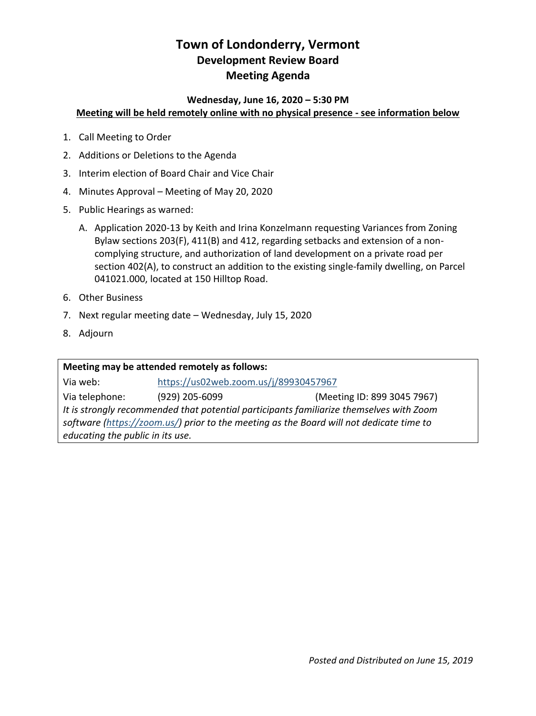# **Town of Londonderry, Vermont Development Review Board Meeting Agenda**

#### **Wednesday, June 16, 2020 – 5:30 PM Meeting will be held remotely online with no physical presence - see information below**

- 1. Call Meeting to Order
- 2. Additions or Deletions to the Agenda
- 3. Interim election of Board Chair and Vice Chair
- 4. Minutes Approval Meeting of May 20, 2020
- 5. Public Hearings as warned:
	- A. Application 2020-13 by Keith and Irina Konzelmann requesting Variances from Zoning Bylaw sections 203(F), 411(B) and 412, regarding setbacks and extension of a noncomplying structure, and authorization of land development on a private road per section 402(A), to construct an addition to the existing single-family dwelling, on Parcel 041021.000, located at 150 Hilltop Road.
- 6. Other Business
- 7. Next regular meeting date Wednesday, July 15, 2020
- 8. Adjourn

**Meeting may be attended remotely as follows:** Via web: <https://us02web.zoom.us/j/89930457967> Via telephone: (929) 205-6099 (Meeting ID: 899 3045 7967) *It is strongly recommended that potential participants familiarize themselves with Zoom software [\(https://zoom.us/\)](https://zoom.us/) prior to the meeting as the Board will not dedicate time to educating the public in its use.*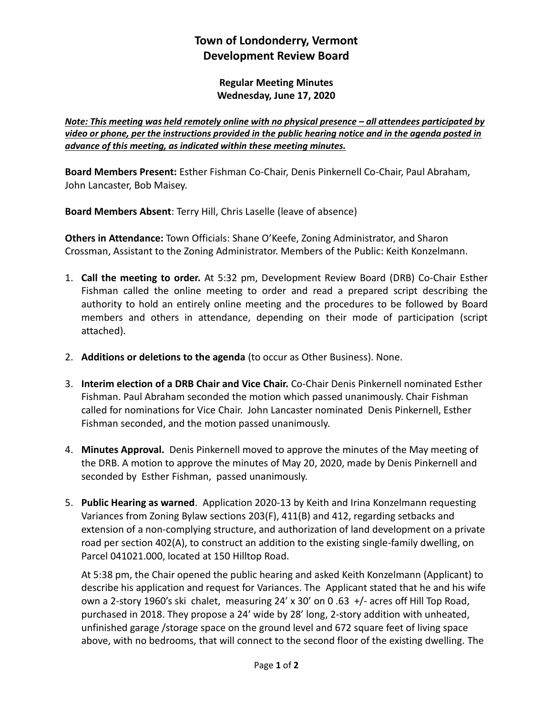## **Town of Londonderry, Vermont Development Review Board**

**Regular Meeting Minutes Wednesday, June 17, 2020**

*Note: This meeting was held remotely online with no physical presence – all attendees participated by video or phone, per the instructions provided in the public hearing notice and in the agenda posted in advance of this meeting, as indicated within these meeting minutes.*

**Board Members Present:** Esther Fishman Co-Chair, Denis Pinkernell Co-Chair, Paul Abraham, John Lancaster, Bob Maisey.

**Board Members Absent**: Terry Hill, Chris Laselle (leave of absence)

**Others in Attendance:** Town Officials: Shane O'Keefe, Zoning Administrator, and Sharon Crossman, Assistant to the Zoning Administrator. Members of the Public: Keith Konzelmann.

- 1. **Call the meeting to order.** At 5:32 pm, Development Review Board (DRB) Co-Chair Esther Fishman called the online meeting to order and read a prepared script describing the authority to hold an entirely online meeting and the procedures to be followed by Board members and others in attendance, depending on their mode of participation (script attached).
- 2. **Additions or deletions to the agenda** (to occur as Other Business). None.
- 3. **Interim election of a DRB Chair and Vice Chair.** Co-Chair Denis Pinkernell nominated Esther Fishman. Paul Abraham seconded the motion which passed unanimously. Chair Fishman called for nominations for Vice Chair. John Lancaster nominated Denis Pinkernell, Esther Fishman seconded, and the motion passed unanimously.
- 4. **Minutes Approval.** Denis Pinkernell moved to approve the minutes of the May meeting of the DRB. A motion to approve the minutes of May 20, 2020, made by Denis Pinkernell and seconded by Esther Fishman, passed unanimously.
- 5. **Public Hearing as warned**. Application 2020-13 by Keith and Irina Konzelmann requesting Variances from Zoning Bylaw sections 203(F), 411(B) and 412, regarding setbacks and extension of a non-complying structure, and authorization of land development on a private road per section 402(A), to construct an addition to the existing single-family dwelling, on Parcel 041021.000, located at 150 Hilltop Road.

At 5:38 pm, the Chair opened the public hearing and asked Keith Konzelmann (Applicant) to describe his application and request for Variances. The Applicant stated that he and his wife own a 2-story 1960's ski chalet, measuring 24' x 30' on 0 .63 +/- acres off Hill Top Road, purchased in 2018. They propose a 24' wide by 28' long, 2-story addition with unheated, unfinished garage /storage space on the ground level and 672 square feet of living space above, with no bedrooms, that will connect to the second floor of the existing dwelling. The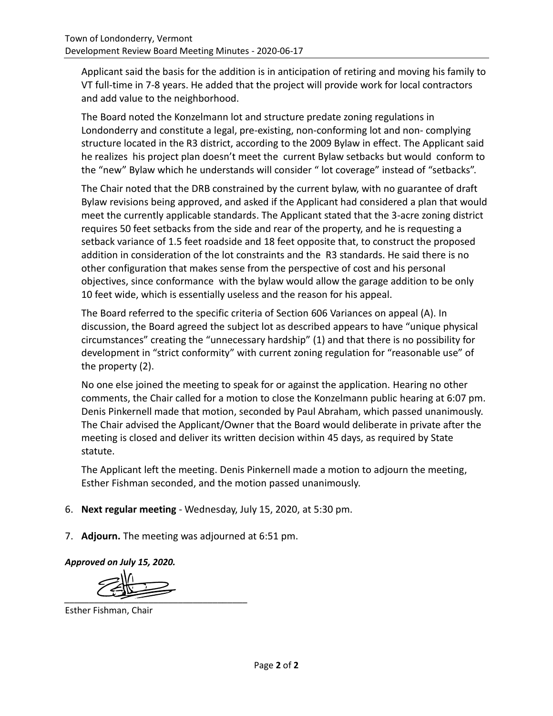Applicant said the basis for the addition is in anticipation of retiring and moving his family to VT full-time in 7-8 years. He added that the project will provide work for local contractors and add value to the neighborhood.

The Board noted the Konzelmann lot and structure predate zoning regulations in Londonderry and constitute a legal, pre-existing, non-conforming lot and non- complying structure located in the R3 district, according to the 2009 Bylaw in effect. The Applicant said he realizes his project plan doesn't meet the current Bylaw setbacks but would conform to the "new" Bylaw which he understands will consider " lot coverage" instead of "setbacks".

The Chair noted that the DRB constrained by the current bylaw, with no guarantee of draft Bylaw revisions being approved, and asked if the Applicant had considered a plan that would meet the currently applicable standards. The Applicant stated that the 3-acre zoning district requires 50 feet setbacks from the side and rear of the property, and he is requesting a setback variance of 1.5 feet roadside and 18 feet opposite that, to construct the proposed addition in consideration of the lot constraints and the R3 standards. He said there is no other configuration that makes sense from the perspective of cost and his personal objectives, since conformance with the bylaw would allow the garage addition to be only 10 feet wide, which is essentially useless and the reason for his appeal.

The Board referred to the specific criteria of Section 606 Variances on appeal (A). In discussion, the Board agreed the subject lot as described appears to have "unique physical circumstances" creating the "unnecessary hardship" (1) and that there is no possibility for development in "strict conformity" with current zoning regulation for "reasonable use" of the property (2).

No one else joined the meeting to speak for or against the application. Hearing no other comments, the Chair called for a motion to close the Konzelmann public hearing at 6:07 pm. Denis Pinkernell made that motion, seconded by Paul Abraham, which passed unanimously. The Chair advised the Applicant/Owner that the Board would deliberate in private after the meeting is closed and deliver its written decision within 45 days, as required by State statute.

The Applicant left the meeting. Denis Pinkernell made a motion to adjourn the meeting, Esther Fishman seconded, and the motion passed unanimously.

- 6. **Next regular meeting** Wednesday, July 15, 2020, at 5:30 pm.
- 7. **Adjourn.** The meeting was adjourned at 6:51 pm.

*Approved on July 15, 2020.* 

*\_\_\_\_\_\_\_\_\_\_\_\_\_\_\_\_\_\_\_\_\_\_\_\_\_\_\_\_\_\_\_\_\_\_\_\_\_* 

Esther Fishman, Chair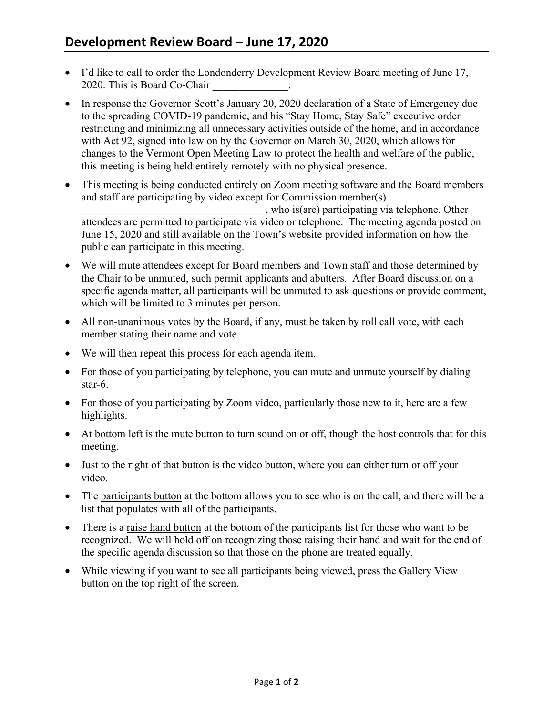- I'd like to call to order the Londonderry Development Review Board meeting of June 17, 2020. This is Board Co-Chair
- In response the Governor Scott's January 20, 2020 declaration of a State of Emergency due to the spreading COVID-19 pandemic, and his "Stay Home, Stay Safe" executive order restricting and minimizing all unnecessary activities outside of the home, and in accordance with Act 92, signed into law on by the Governor on March 30, 2020, which allows for changes to the Vermont Open Meeting Law to protect the health and welfare of the public, this meeting is being held entirely remotely with no physical presence.
- This meeting is being conducted entirely on Zoom meeting software and the Board members and staff are participating by video except for Commission member(s) \_\_\_\_\_\_\_\_\_\_\_\_\_\_\_\_\_\_\_\_\_\_\_\_\_\_\_\_\_\_\_\_\_\_, who is(are) participating via telephone. Other attendees are permitted to participate via video or telephone. The meeting agenda posted on June 15, 2020 and still available on the Town's website provided information on how the public can participate in this meeting.
- We will mute attendees except for Board members and Town staff and those determined by the Chair to be unmuted, such permit applicants and abutters. After Board discussion on a specific agenda matter, all participants will be unmuted to ask questions or provide comment, which will be limited to 3 minutes per person.
- All non-unanimous votes by the Board, if any, must be taken by roll call vote, with each member stating their name and vote.
- We will then repeat this process for each agenda item.
- For those of you participating by telephone, you can mute and unmute yourself by dialing star-6.
- For those of you participating by Zoom video, particularly those new to it, here are a few highlights.
- At bottom left is the mute button to turn sound on or off, though the host controls that for this meeting.
- Just to the right of that button is the video button, where you can either turn or off your video.
- The participants button at the bottom allows you to see who is on the call, and there will be a list that populates with all of the participants.
- There is a raise hand button at the bottom of the participants list for those who want to be recognized. We will hold off on recognizing those raising their hand and wait for the end of the specific agenda discussion so that those on the phone are treated equally.
- While viewing if you want to see all participants being viewed, press the Gallery View button on the top right of the screen.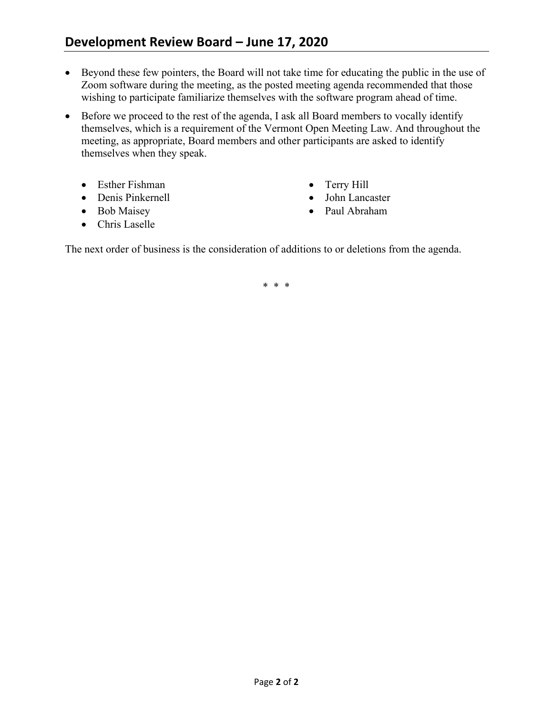- Beyond these few pointers, the Board will not take time for educating the public in the use of Zoom software during the meeting, as the posted meeting agenda recommended that those wishing to participate familiarize themselves with the software program ahead of time.
- Before we proceed to the rest of the agenda, I ask all Board members to vocally identify themselves, which is a requirement of the Vermont Open Meeting Law. And throughout the meeting, as appropriate, Board members and other participants are asked to identify themselves when they speak.
	- Esther Fishman
	- Denis Pinkernell
	- Bob Maisey
	- Chris Laselle
- Terry Hill
- John Lancaster
- Paul Abraham

The next order of business is the consideration of additions to or deletions from the agenda.

\* \* \*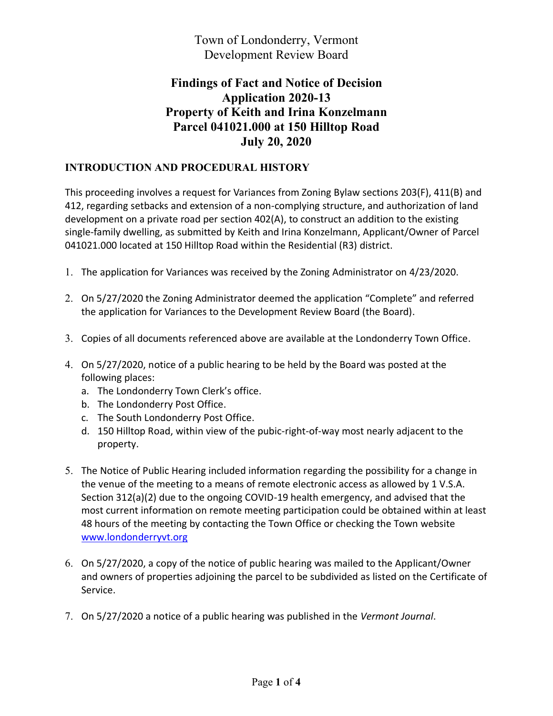Town of Londonderry, Vermont Development Review Board

## **Findings of Fact and Notice of Decision Application 2020-13 Property of Keith and Irina Konzelmann Parcel 041021.000 at 150 Hilltop Road July 20, 2020**

### **INTRODUCTION AND PROCEDURAL HISTORY**

This proceeding involves a request for Variances from Zoning Bylaw sections 203(F), 411(B) and 412, regarding setbacks and extension of a non-complying structure, and authorization of land development on a private road per section 402(A), to construct an addition to the existing single-family dwelling, as submitted by Keith and Irina Konzelmann, Applicant/Owner of Parcel 041021.000 located at 150 Hilltop Road within the Residential (R3) district.

- 1. The application for Variances was received by the Zoning Administrator on 4/23/2020.
- 2. On 5/27/2020 the Zoning Administrator deemed the application "Complete" and referred the application for Variances to the Development Review Board (the Board).
- 3. Copies of all documents referenced above are available at the Londonderry Town Office.
- 4. On 5/27/2020, notice of a public hearing to be held by the Board was posted at the following places:
	- a. The Londonderry Town Clerk's office.
	- b. The Londonderry Post Office.
	- c. The South Londonderry Post Office.
	- d. 150 Hilltop Road, within view of the pubic-right-of-way most nearly adjacent to the property.
- 5. The Notice of Public Hearing included information regarding the possibility for a change in the venue of the meeting to a means of remote electronic access as allowed by 1 V.S.A. Section 312(a)(2) due to the ongoing COVID-19 health emergency, and advised that the most current information on remote meeting participation could be obtained within at least 48 hours of the meeting by contacting the Town Office or checking the Town website [www.londonderryvt.org](http://www.londonderryvt.org/)
- 6. On 5/27/2020, a copy of the notice of public hearing was mailed to the Applicant/Owner and owners of properties adjoining the parcel to be subdivided as listed on the Certificate of Service.
- 7. On 5/27/2020 a notice of a public hearing was published in the *Vermont Journal*.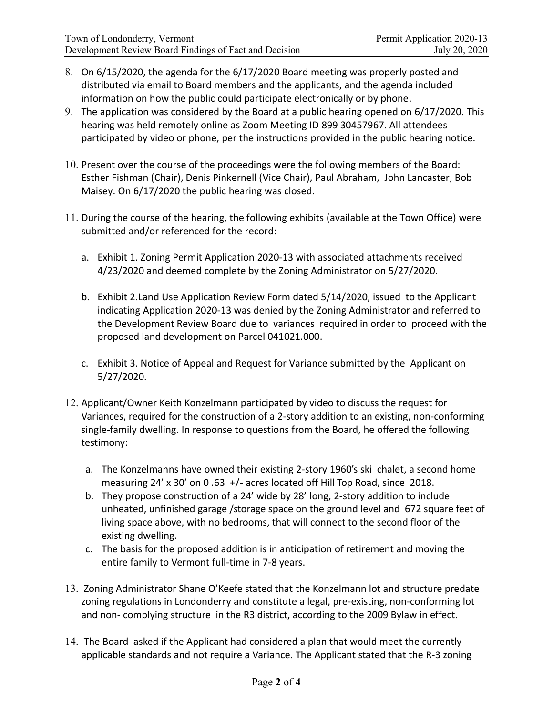- 8. On 6/15/2020, the agenda for the 6/17/2020 Board meeting was properly posted and distributed via email to Board members and the applicants, and the agenda included information on how the public could participate electronically or by phone.
- 9. The application was considered by the Board at a public hearing opened on 6/17/2020. This hearing was held remotely online as Zoom Meeting ID 899 30457967. All attendees participated by video or phone, per the instructions provided in the public hearing notice.
- 10. Present over the course of the proceedings were the following members of the Board: Esther Fishman (Chair), Denis Pinkernell (Vice Chair), Paul Abraham, John Lancaster, Bob Maisey. On 6/17/2020 the public hearing was closed.
- 11. During the course of the hearing, the following exhibits (available at the Town Office) were submitted and/or referenced for the record:
	- a. Exhibit 1. Zoning Permit Application 2020-13 with associated attachments received 4/23/2020 and deemed complete by the Zoning Administrator on 5/27/2020.
	- b. Exhibit 2.Land Use Application Review Form dated 5/14/2020, issued to the Applicant indicating Application 2020-13 was denied by the Zoning Administrator and referred to the Development Review Board due to variances required in order to proceed with the proposed land development on Parcel 041021.000.
	- c. Exhibit 3. Notice of Appeal and Request for Variance submitted by the Applicant on 5/27/2020.
- 12. Applicant/Owner Keith Konzelmann participated by video to discuss the request for Variances, required for the construction of a 2-story addition to an existing, non-conforming single-family dwelling. In response to questions from the Board, he offered the following testimony:
	- a. The Konzelmanns have owned their existing 2-story 1960's ski chalet, a second home measuring 24' x 30' on 0 .63 +/- acres located off Hill Top Road, since 2018.
	- b. They propose construction of a 24' wide by 28' long, 2-story addition to include unheated, unfinished garage /storage space on the ground level and 672 square feet of living space above, with no bedrooms, that will connect to the second floor of the existing dwelling.
	- c. The basis for the proposed addition is in anticipation of retirement and moving the entire family to Vermont full-time in 7-8 years.
- 13. Zoning Administrator Shane O'Keefe stated that the Konzelmann lot and structure predate zoning regulations in Londonderry and constitute a legal, pre-existing, non-conforming lot and non- complying structure in the R3 district, according to the 2009 Bylaw in effect.
- 14. The Board asked if the Applicant had considered a plan that would meet the currently applicable standards and not require a Variance. The Applicant stated that the R-3 zoning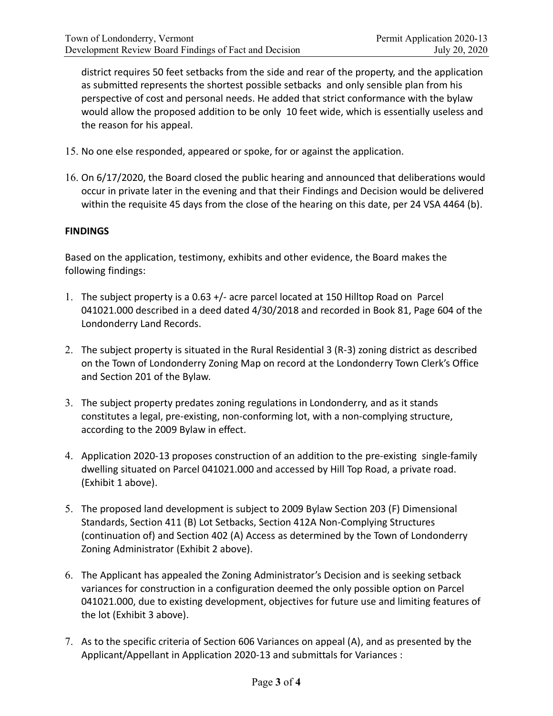district requires 50 feet setbacks from the side and rear of the property, and the application as submitted represents the shortest possible setbacks and only sensible plan from his perspective of cost and personal needs. He added that strict conformance with the bylaw would allow the proposed addition to be only 10 feet wide, which is essentially useless and the reason for his appeal.

- 15. No one else responded, appeared or spoke, for or against the application.
- 16. On 6/17/2020, the Board closed the public hearing and announced that deliberations would occur in private later in the evening and that their Findings and Decision would be delivered within the requisite 45 days from the close of the hearing on this date, per 24 VSA 4464 (b).

#### **FINDINGS**

Based on the application, testimony, exhibits and other evidence, the Board makes the following findings:

- 1. The subject property is a 0.63 н/- acre parcel located at 150 Hilltop Road on Parcel 041021.000 described in a deed dated 4/30/2018 and recorded in Book 81, Page 604 of the Londonderry Land Records.
- 2. The subject property is situated in the Rural Residential 3 (R-3) zoning district as described on the Town of Londonderry Zoning Map on record at the Londonderry Town Clerk's Office and Section 201 of the Bylaw.
- 3. The subject property predates zoning regulations in Londonderry, and as it stands constitutes a legal, pre-existing, non-conforming lot, with a non-complying structure, according to the 200ϵ Bylaw in effect.
- 4. Application 2020-13 proposes construction of an addition to the pre-existing single-family dwelling situated on Parcel 041021.000 and accessed by Hill Top Road, a private road. (Exhibit 1 above).
- 5. The proposed land development is subject to 2009 Bylaw Section 203 (F) Dimensional Standards, Section 411 (B) Lot Setbacks, Section 412A Non-Complying Structures (continuation of) and Section 402 (A) Access as determined by the Town of Londonderry Zoning Administrator (Exhibit 2 above).
- 6. The Applicant has appealed the Zoning Administrator's Decision and is seeking setback variances for construction in a configuration deemed the only possible option on Parcel 041021.000, due to existing development, objectives for future use and limiting features of the lot (Exhibit 3 above).
- 7. As to the specific criteria of Section 606 Variances on appeal (A), and as presented by the Applicant/Appellant in Application 2020-13 and submittals for Variances :